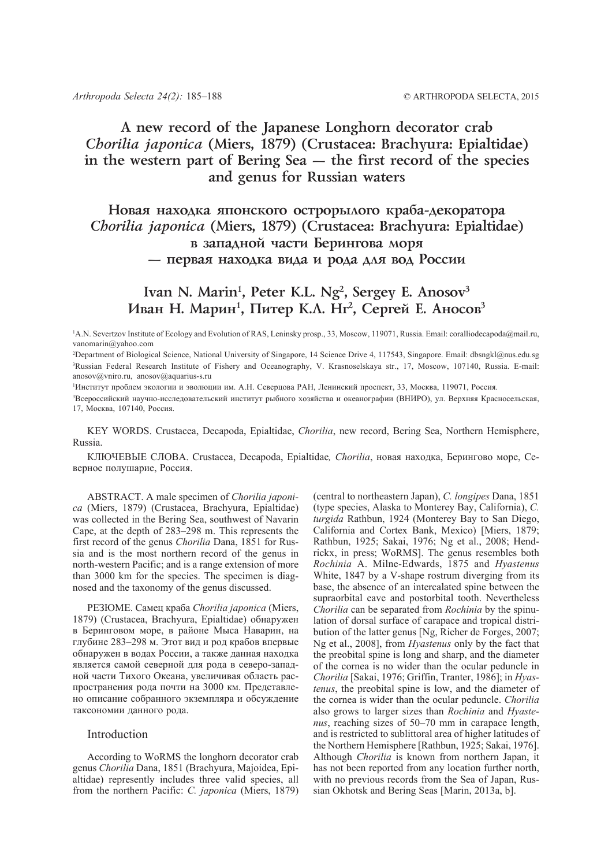# **A new record of the Japanese Longhorn decorator crab** *Chorilia japonica* **(Miers, 1879) (Crustacea: Brachyura: Epialtidae) in the western part of Bering Sea — the first record of the species and genus for Russian waters**

# Новая находка японского острорылого краба-декоратора *Chorilia japonica* **(Miers, 1879) (Crustacea: Brachyura: Epialtidae) в западной части Берингова моря** — первая находка вида и рода для вод России

## Ivan N. Marin<sup>1</sup>, Peter K.L. Ng<sup>2</sup>, Sergey E. Anosov<sup>3</sup> Иван Н. Марин<sup>1</sup>, Питер К.Л. Нг<sup>2</sup>, Сергей Е. Аносов<sup>3</sup>

<sup>1</sup>A.N. Severtzov Institute of Ecology and Evolution of RAS, Leninsky prosp., 33, Moscow, 119071, Russia. Email: coralliodecapoda@mail.ru, vanomarin@yahoo.com

2 Department of Biological Science, National University of Singapore, 14 Science Drive 4, 117543, Singapore. Email: dbsngkl@nus.edu.sg 3 Russian Federal Research Institute of Fishery and Oceanography, V. Krasnoselskaya str., 17, Moscow, 107140, Russia. E-mail: anosov@vniro.ru, anosov@aquarius-s.ru

1 Институт проблем экологии и эволюции им. А.Н. Северцова РАН, Ленинский проспект, 33, Москва, 119071, Россия.

3 Всероссийский научно-исследовательский институт рыбного хозяйства и океанографии (ВНИРО), ул. Верхняя Красносельская, 17, Москва, 107140, Россия.

KEY WORDS. Crustacea, Decapoda, Epialtidae, *Chorilia*, new record, Bering Sea, Northern Hemisphere, Russia.

КЛЮЧЕВЫЕ СЛОВА. Crustacea, Decapoda, Epialtidae*, Chorilia*, новая находка, Берингово море, Северное полушарие, Россия.

ABSTRACT. A male specimen of *Chorilia japonica* (Miers, 1879) (Crustacea, Brachyura, Epialtidae) was collected in the Bering Sea, southwest of Navarin Cape, at the depth of 283–298 m. This represents the first record of the genus *Chorilia* Dana, 1851 for Russia and is the most northern record of the genus in north-western Pacific; and is a range extension of more than 3000 km for the species. The specimen is diagnosed and the taxonomy of the genus discussed.

РЕЗЮМЕ. Самец краба *Chorilia japonica* (Miers, 1879) (Crustacea, Brachyura, Epialtidae) обнаружен в Беринговом море, в районе Мыса Наварин, на глубине 283–298 м. Этот вид и род крабов впервые обнаружен в водах России, а также данная находка является самой северной для рода в северо-западной части Тихого Океана, увеличивая область распространения рода почти на 3000 км. Представлено описание собранного экземпляра и обсуждение таксономии данного рода.

### Introduction

According to WoRMS the longhorn decorator crab genus *Chorilia* Dana, 1851 (Brachyura, Majoidea, Epialtidae) represently includes three valid species, all from the northern Pacific: *C. japonica* (Miers, 1879)

(central to northeastern Japan), *C. longipes* Dana, 1851 (type species, Alaska to Monterey Bay, California), *C. turgida* Rathbun, 1924 (Monterey Bay to San Diego, California and Cortex Bank, Mexico) [Miers, 1879; Rathbun, 1925; Sakai, 1976; Ng et al., 2008; Hendrickx, in press; WoRMS]. The genus resembles both *Rochinia* A. Milne-Edwards, 1875 and *Hyastenus* White, 1847 by a V-shape rostrum diverging from its base, the absence of an intercalated spine between the supraorbital eave and postorbital tooth. Nevertheless *Chorilia* can be separated from *Rochinia* by the spinulation of dorsal surface of carapace and tropical distribution of the latter genus [Ng, Richer de Forges, 2007; Ng et al., 2008], from *Hyastenus* only by the fact that the preobital spine is long and sharp, and the diameter of the cornea is no wider than the ocular peduncle in *Chorilia* [Sakai, 1976; Griffin, Tranter, 1986]; in *Hyastenus*, the preobital spine is low, and the diameter of the cornea is wider than the ocular peduncle. *Chorilia* also grows to larger sizes than *Rochinia* and *Hyastenus*, reaching sizes of 50–70 mm in carapace length, and is restricted to sublittoral area of higher latitudes of the Northern Hemisphere [Rathbun, 1925; Sakai, 1976]. Although *Chorilia* is known from northern Japan, it has not been reported from any location further north, with no previous records from the Sea of Japan, Russian Okhotsk and Bering Seas [Marin, 2013a, b].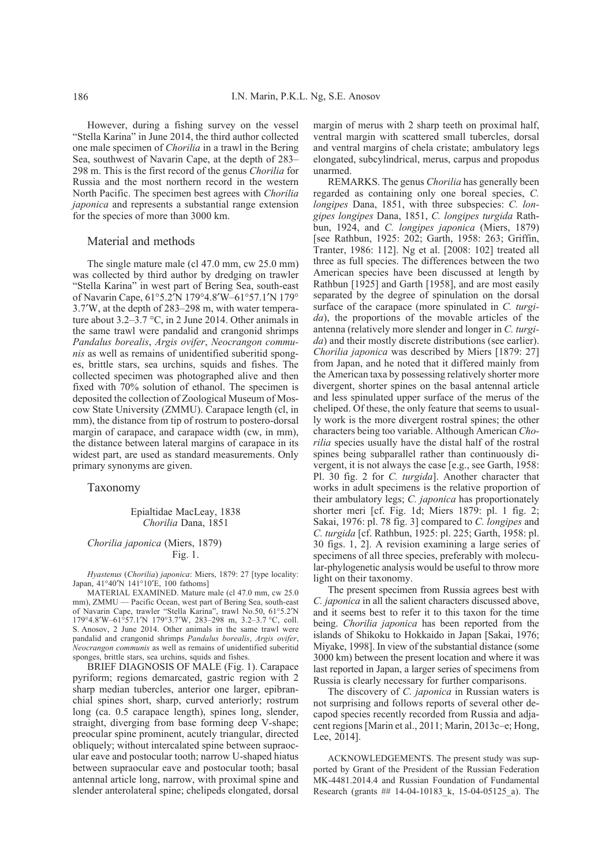However, during a fishing survey on the vessel "Stella Karina" in June 2014, the third author collected one male specimen of *Chorilia* in a trawl in the Bering Sea, southwest of Navarin Cape, at the depth of 283– 298 m. This is the first record of the genus *Chorilia* for Russia and the most northern record in the western North Pacific. The specimen best agrees with *Chorilia japonica* and represents a substantial range extension for the species of more than 3000 km.

#### Material and methods

The single mature male (cl 47.0 mm, cw 25.0 mm) was collected by third author by dredging on trawler "Stella Karina" in west part of Bering Sea, south-east of Navarin Cape, 61°5.2′N 179°4.8′W–61°57.1′N 179° 3.7′W, at the depth of 283–298 m, with water temperature about 3.2–3.7 °C, in 2 June 2014. Other animals in the same trawl were pandalid and crangonid shrimps *Pandalus borealis*, *Argis ovifer*, *Neocrangon communis* as well as remains of unidentified suberitid sponges, brittle stars, sea urchins, squids and fishes. The collected specimen was photographed alive and then fixed with 70% solution of ethanol. The specimen is deposited the collection of Zoological Museum of Moscow State University (ZMMU). Carapace length (cl, in mm), the distance from tip of rostrum to postero-dorsal margin of carapace, and carapace width (cw, in mm), the distance between lateral margins of carapace in its widest part, are used as standard measurements. Only primary synonyms are given.

Taxonomy

#### Epialtidae MacLeay, 1838 *Chorilia* Dana, 1851

### *Chorilia japonica* (Miers, 1879) Fig. 1.

*Hyastenus* (*Chorilia*) *japonica*: Miers, 1879: 27 [type locality: Japan, 41°40′N 141°10′E, 100 fathoms]

MATERIAL EXAMINED. Mature male (cl 47.0 mm, cw 25.0) mm), ZMMU — Pacific Ocean, west part of Bering Sea, south-east of Navarin Cape, trawler "Stella Karina", trawl No.50, 61°5.2′N 179°4.8′W–61°57.1′N 179°3.7′W, 283–298 m, 3.2–3.7 °C, coll. S. Anosov, 2 June 2014. Other animals in the same trawl were pandalid and crangonid shrimps *Pandalus borealis*, *Argis ovifer*, *Neocrangon communis* as well as remains of unidentified suberitid sponges, brittle stars, sea urchins, squids and fishes.

BRIEF DIAGNOSIS OF MALE (Fig. 1). Carapace pyriform; regions demarcated, gastric region with 2 sharp median tubercles, anterior one larger, epibranchial spines short, sharp, curved anteriorly; rostrum long (ca. 0.5 carapace length), spines long, slender, straight, diverging from base forming deep V-shape; preocular spine prominent, acutely triangular, directed obliquely; without intercalated spine between supraocular eave and postocular tooth; narrow U-shaped hiatus between supraocular eave and postocular tooth; basal antennal article long, narrow, with proximal spine and slender anterolateral spine; chelipeds elongated, dorsal margin of merus with 2 sharp teeth on proximal half, ventral margin with scattered small tubercles, dorsal and ventral margins of chela cristate; ambulatory legs elongated, subcylindrical, merus, carpus and propodus unarmed.

REMARKS. The genus *Chorilia* has generally been regarded as containing only one boreal species, *C. longipes* Dana, 1851, with three subspecies: *C. longipes longipes* Dana, 1851, *C. longipes turgida* Rathbun, 1924, and *C. longipes japonica* (Miers, 1879) [see Rathbun, 1925: 202; Garth, 1958: 263; Griffin, Tranter, 1986: 112]. Ng et al. [2008: 102] treated all three as full species. The differences between the two American species have been discussed at length by Rathbun [1925] and Garth [1958], and are most easily separated by the degree of spinulation on the dorsal surface of the carapace (more spinulated in *C. turgida*), the proportions of the movable articles of the antenna (relatively more slender and longer in *C. turgida*) and their mostly discrete distributions (see earlier). *Chorilia japonica* was described by Miers [1879: 27] from Japan, and he noted that it differed mainly from the American taxa by possessing relatively shorter more divergent, shorter spines on the basal antennal article and less spinulated upper surface of the merus of the cheliped. Of these, the only feature that seems to usually work is the more divergent rostral spines; the other characters being too variable. Although American *Chorilia* species usually have the distal half of the rostral spines being subparallel rather than continuously divergent, it is not always the case [e.g., see Garth, 1958: Pl. 30 fig. 2 for *C. turgida*]. Another character that works in adult specimens is the relative proportion of their ambulatory legs; *C. japonica* has proportionately shorter meri [cf. Fig. 1d; Miers 1879: pl. 1 fig. 2; Sakai, 1976: pl. 78 fig. 3] compared to *C. longipes* and *C. turgida* [cf. Rathbun, 1925: pl. 225; Garth, 1958: pl. 30 figs. 1, 2]. A revision examining a large series of specimens of all three species, preferably with molecular-phylogenetic analysis would be useful to throw more light on their taxonomy.

The present specimen from Russia agrees best with *C. japonica* in all the salient characters discussed above, and it seems best to refer it to this taxon for the time being. *Chorilia japonica* has been reported from the islands of Shikoku to Hokkaido in Japan [Sakai, 1976; Miyake, 1998]. In view of the substantial distance (some 3000 km) between the present location and where it was last reported in Japan, a larger series of specimens from Russia is clearly necessary for further comparisons.

The discovery of *C. japonica* in Russian waters is not surprising and follows reports of several other decapod species recently recorded from Russia and adjacent regions [Marin et al., 2011; Marin, 2013c–e; Hong, Lee, 2014].

ACKNOWLEDGEMENTS. The present study was supported by Grant of the President of the Russian Federation MK-4481.2014.4 and Russian Foundation of Fundamental Research (grants ## 14-04-10183\_k, 15-04-05125\_a). The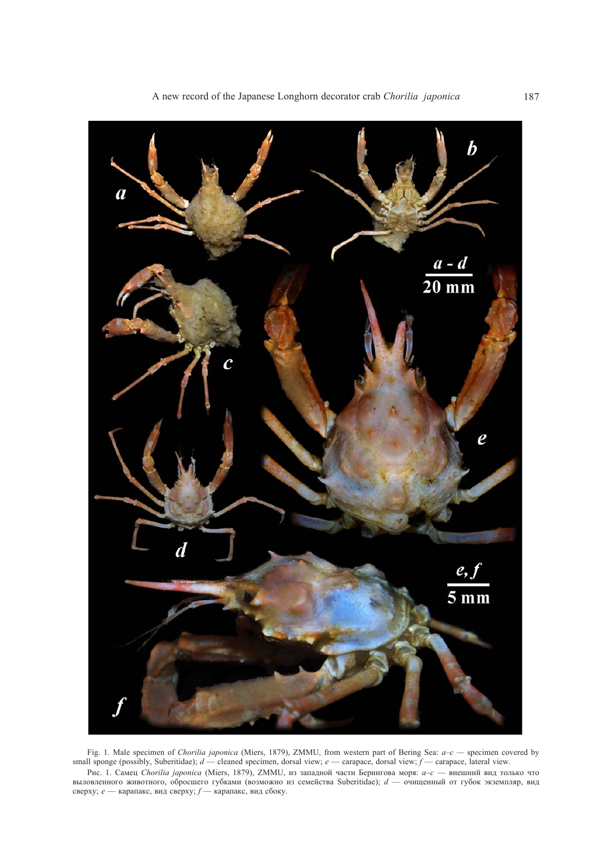

Fig. 1. Male specimen of *Chorilia japonica* (Miers, 1879), ZMMU, from western part of Bering Sea: *a–c —* specimen covered by small sponge (possibly, Suberitidae); *d* — cleaned specimen, dorsal view; *e* — carapace, dorsal view; *f* — carapace, lateral view. Риc. 1. Самец *Chorilia japonica* (Miers, 1879), ZMMU, из западной части Берингова моря: *a–c* — внешний вид только что выловленного животного, обросшего губками (возможно из семейства Suberitidae); *d* — очищенный от губок экземпляр, вид сверху; *e* — карапакс, вид сверху; *f* — карапакс, вид сбоку.